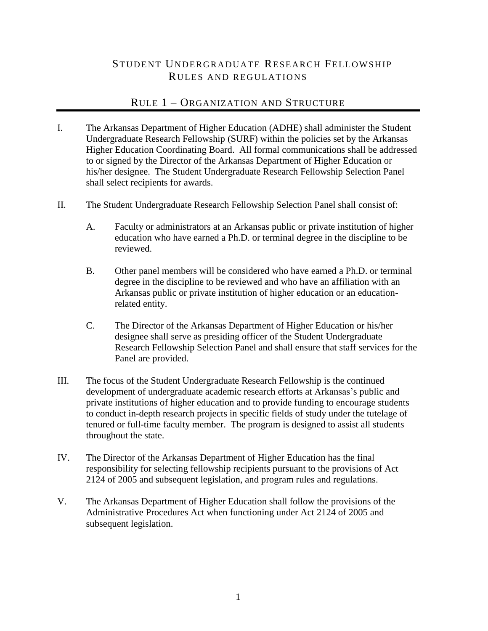# STUDENT UNDERGRADUATE RESEARCH FELLOWSHIP RULES AND REGULATIONS

# RULE 1 – ORGANIZATION AND STRUCTURE

- I. The Arkansas Department of Higher Education (ADHE) shall administer the Student Undergraduate Research Fellowship (SURF) within the policies set by the Arkansas Higher Education Coordinating Board. All formal communications shall be addressed to or signed by the Director of the Arkansas Department of Higher Education or his/her designee. The Student Undergraduate Research Fellowship Selection Panel shall select recipients for awards.
- II. The Student Undergraduate Research Fellowship Selection Panel shall consist of:
	- A. Faculty or administrators at an Arkansas public or private institution of higher education who have earned a Ph.D. or terminal degree in the discipline to be reviewed.
	- B. Other panel members will be considered who have earned a Ph.D. or terminal degree in the discipline to be reviewed and who have an affiliation with an Arkansas public or private institution of higher education or an educationrelated entity.
	- C. The Director of the Arkansas Department of Higher Education or his/her designee shall serve as presiding officer of the Student Undergraduate Research Fellowship Selection Panel and shall ensure that staff services for the Panel are provided.
- III. The focus of the Student Undergraduate Research Fellowship is the continued development of undergraduate academic research efforts at Arkansas's public and private institutions of higher education and to provide funding to encourage students to conduct in-depth research projects in specific fields of study under the tutelage of tenured or full-time faculty member. The program is designed to assist all students throughout the state.
- IV. The Director of the Arkansas Department of Higher Education has the final responsibility for selecting fellowship recipients pursuant to the provisions of Act 2124 of 2005 and subsequent legislation, and program rules and regulations.
- V. The Arkansas Department of Higher Education shall follow the provisions of the Administrative Procedures Act when functioning under Act 2124 of 2005 and subsequent legislation.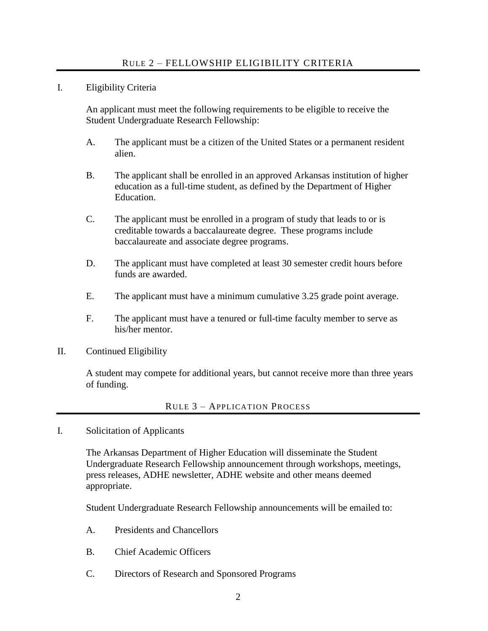### I. Eligibility Criteria

An applicant must meet the following requirements to be eligible to receive the Student Undergraduate Research Fellowship:

- A. The applicant must be a citizen of the United States or a permanent resident alien.
- B. The applicant shall be enrolled in an approved Arkansas institution of higher education as a full-time student, as defined by the Department of Higher Education.
- C. The applicant must be enrolled in a program of study that leads to or is creditable towards a baccalaureate degree. These programs include baccalaureate and associate degree programs.
- D. The applicant must have completed at least 30 semester credit hours before funds are awarded.
- E. The applicant must have a minimum cumulative 3.25 grade point average.
- F. The applicant must have a tenured or full-time faculty member to serve as his/her mentor.
- II. Continued Eligibility

A student may compete for additional years, but cannot receive more than three years of funding.

## RULE 3 – APPLICATION PROCESS

I. Solicitation of Applicants

The Arkansas Department of Higher Education will disseminate the Student Undergraduate Research Fellowship announcement through workshops, meetings, press releases, ADHE newsletter, ADHE website and other means deemed appropriate.

Student Undergraduate Research Fellowship announcements will be emailed to:

- A. Presidents and Chancellors
- B. Chief Academic Officers
- C. Directors of Research and Sponsored Programs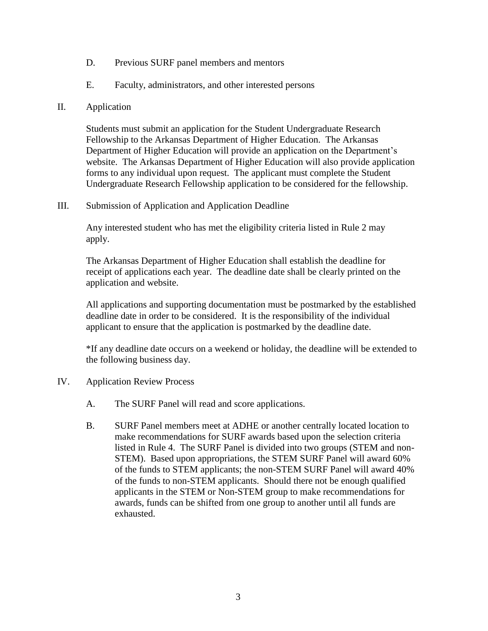- D. Previous SURF panel members and mentors
- E. Faculty, administrators, and other interested persons
- II. Application

Students must submit an application for the Student Undergraduate Research Fellowship to the Arkansas Department of Higher Education. The Arkansas Department of Higher Education will provide an application on the Department's website. The Arkansas Department of Higher Education will also provide application forms to any individual upon request. The applicant must complete the Student Undergraduate Research Fellowship application to be considered for the fellowship.

III. Submission of Application and Application Deadline

Any interested student who has met the eligibility criteria listed in Rule 2 may apply.

The Arkansas Department of Higher Education shall establish the deadline for receipt of applications each year. The deadline date shall be clearly printed on the application and website.

All applications and supporting documentation must be postmarked by the established deadline date in order to be considered. It is the responsibility of the individual applicant to ensure that the application is postmarked by the deadline date.

\*If any deadline date occurs on a weekend or holiday, the deadline will be extended to the following business day.

- IV. Application Review Process
	- A. The SURF Panel will read and score applications.
	- B. SURF Panel members meet at ADHE or another centrally located location to make recommendations for SURF awards based upon the selection criteria listed in Rule 4. The SURF Panel is divided into two groups (STEM and non-STEM). Based upon appropriations, the STEM SURF Panel will award 60% of the funds to STEM applicants; the non-STEM SURF Panel will award 40% of the funds to non-STEM applicants. Should there not be enough qualified applicants in the STEM or Non-STEM group to make recommendations for awards, funds can be shifted from one group to another until all funds are exhausted.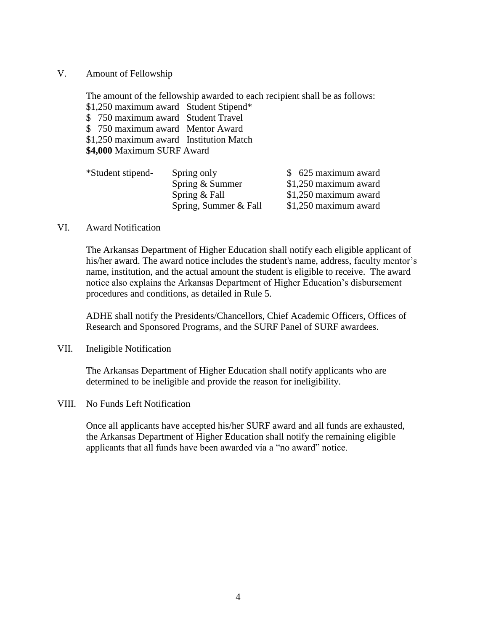V. Amount of Fellowship

The amount of the fellowship awarded to each recipient shall be as follows: \$1,250 maximum award Student Stipend\* \$ 750 maximum award Student Travel \$ 750 maximum award Mentor Award \$1,250 maximum award Institution Match **\$4,000** Maximum SURF Award

| *Student stipend- | Spring only           | \$ 625 maximum award   |
|-------------------|-----------------------|------------------------|
|                   | Spring $&$ Summer     | $$1,250$ maximum award |
|                   | Spring $&$ Fall       | $$1,250$ maximum award |
|                   | Spring, Summer & Fall | \$1,250 maximum award  |
|                   |                       |                        |

#### VI. Award Notification

The Arkansas Department of Higher Education shall notify each eligible applicant of his/her award. The award notice includes the student's name, address, faculty mentor's name, institution, and the actual amount the student is eligible to receive. The award notice also explains the Arkansas Department of Higher Education's disbursement procedures and conditions, as detailed in Rule 5.

ADHE shall notify the Presidents/Chancellors, Chief Academic Officers, Offices of Research and Sponsored Programs, and the SURF Panel of SURF awardees.

VII. Ineligible Notification

The Arkansas Department of Higher Education shall notify applicants who are determined to be ineligible and provide the reason for ineligibility.

VIII. No Funds Left Notification

Once all applicants have accepted his/her SURF award and all funds are exhausted, the Arkansas Department of Higher Education shall notify the remaining eligible applicants that all funds have been awarded via a "no award" notice.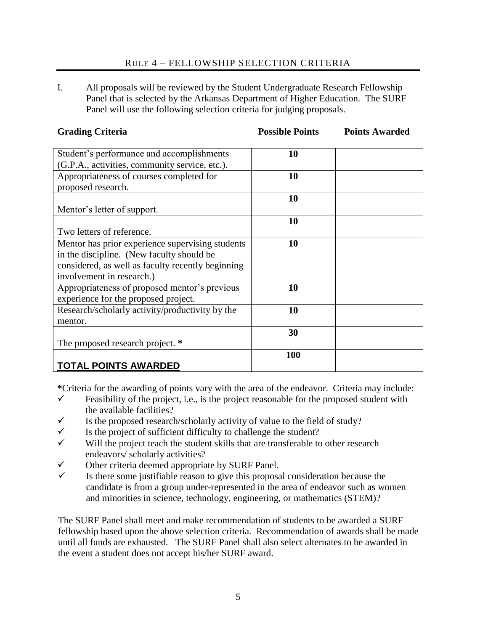## RULE 4 – FELLOWSHIP SELECTION CRITERIA

I. All proposals will be reviewed by the Student Undergraduate Research Fellowship Panel that is selected by the Arkansas Department of Higher Education. The SURF Panel will use the following selection criteria for judging proposals.

| <b>Grading Criteria</b>                                                               | <b>Possible Points</b> | <b>Points Awarded</b> |
|---------------------------------------------------------------------------------------|------------------------|-----------------------|
| Student's performance and accomplishments                                             | 10                     |                       |
| (G.P.A., activities, community service, etc.).                                        |                        |                       |
| Appropriateness of courses completed for                                              | 10                     |                       |
| proposed research.                                                                    |                        |                       |
|                                                                                       | 10                     |                       |
| Mentor's letter of support.                                                           |                        |                       |
|                                                                                       | 10                     |                       |
| Two letters of reference.                                                             |                        |                       |
| Mentor has prior experience supervising students                                      | 10                     |                       |
| in the discipline. (New faculty should be                                             |                        |                       |
| considered, as well as faculty recently beginning                                     |                        |                       |
| involvement in research.)                                                             |                        |                       |
| Appropriateness of proposed mentor's previous<br>experience for the proposed project. | 10                     |                       |
| Research/scholarly activity/productivity by the                                       | 10                     |                       |
| mentor.                                                                               |                        |                       |
|                                                                                       | 30                     |                       |
| The proposed research project. *                                                      |                        |                       |
|                                                                                       | 100                    |                       |
| <b>TOTAL POINTS AWARDED</b>                                                           |                        |                       |

**\***Criteria for the awarding of points vary with the area of the endeavor. Criteria may include:

- $\checkmark$  Feasibility of the project, i.e., is the project reasonable for the proposed student with the available facilities?
- $\checkmark$  Is the proposed research/scholarly activity of value to the field of study?
- $\checkmark$  Is the project of sufficient difficulty to challenge the student?
- $\checkmark$  Will the project teach the student skills that are transferable to other research endeavors/ scholarly activities?
- $\checkmark$  Other criteria deemed appropriate by SURF Panel.<br> $\checkmark$  Is there some justifiable reason to give this propose
- Is there some justifiable reason to give this proposal consideration because the candidate is from a group under-represented in the area of endeavor such as women and minorities in science, technology, engineering, or mathematics (STEM)?

The SURF Panel shall meet and make recommendation of students to be awarded a SURF fellowship based upon the above selection criteria. Recommendation of awards shall be made until all funds are exhausted. The SURF Panel shall also select alternates to be awarded in the event a student does not accept his/her SURF award.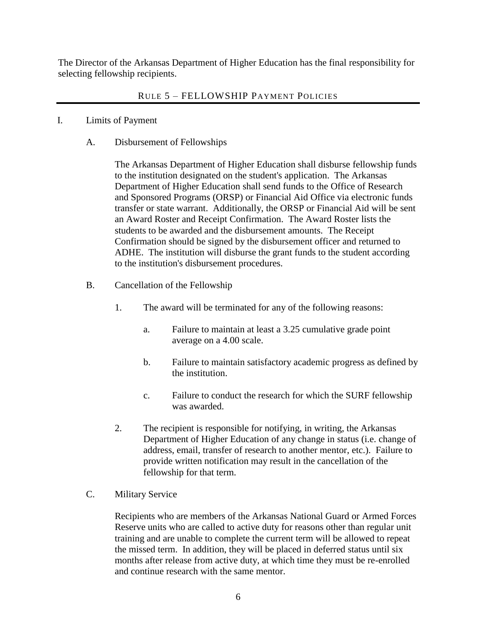The Director of the Arkansas Department of Higher Education has the final responsibility for selecting fellowship recipients.

## RULE 5 – FELLOWSHIP PAYMENT POLICIES

- I. Limits of Payment
	- A. Disbursement of Fellowships

The Arkansas Department of Higher Education shall disburse fellowship funds to the institution designated on the student's application. The Arkansas Department of Higher Education shall send funds to the Office of Research and Sponsored Programs (ORSP) or Financial Aid Office via electronic funds transfer or state warrant. Additionally, the ORSP or Financial Aid will be sent an Award Roster and Receipt Confirmation. The Award Roster lists the students to be awarded and the disbursement amounts. The Receipt Confirmation should be signed by the disbursement officer and returned to ADHE. The institution will disburse the grant funds to the student according to the institution's disbursement procedures.

- B. Cancellation of the Fellowship
	- 1. The award will be terminated for any of the following reasons:
		- a. Failure to maintain at least a 3.25 cumulative grade point average on a 4.00 scale.
		- b. Failure to maintain satisfactory academic progress as defined by the institution.
		- c. Failure to conduct the research for which the SURF fellowship was awarded.
	- 2. The recipient is responsible for notifying, in writing, the Arkansas Department of Higher Education of any change in status (i.e. change of address, email, transfer of research to another mentor, etc.). Failure to provide written notification may result in the cancellation of the fellowship for that term.

### C. Military Service

Recipients who are members of the Arkansas National Guard or Armed Forces Reserve units who are called to active duty for reasons other than regular unit training and are unable to complete the current term will be allowed to repeat the missed term. In addition, they will be placed in deferred status until six months after release from active duty, at which time they must be re-enrolled and continue research with the same mentor.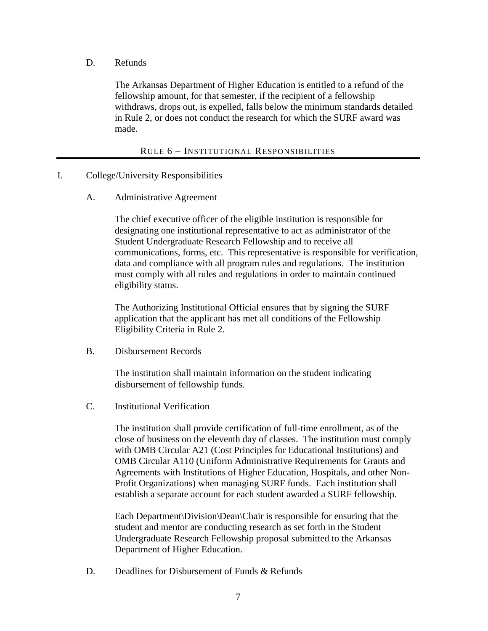D. Refunds

The Arkansas Department of Higher Education is entitled to a refund of the fellowship amount, for that semester, if the recipient of a fellowship withdraws, drops out, is expelled, falls below the minimum standards detailed in Rule 2, or does not conduct the research for which the SURF award was made.

RULE 6 – INSTITUTIONAL RESPONSIBILITIES

- I. College/University Responsibilities
	- A. Administrative Agreement

The chief executive officer of the eligible institution is responsible for designating one institutional representative to act as administrator of the Student Undergraduate Research Fellowship and to receive all communications, forms, etc. This representative is responsible for verification, data and compliance with all program rules and regulations. The institution must comply with all rules and regulations in order to maintain continued eligibility status.

The Authorizing Institutional Official ensures that by signing the SURF application that the applicant has met all conditions of the Fellowship Eligibility Criteria in Rule 2.

B. Disbursement Records

The institution shall maintain information on the student indicating disbursement of fellowship funds.

C. Institutional Verification

The institution shall provide certification of full-time enrollment, as of the close of business on the eleventh day of classes. The institution must comply with OMB Circular A21 (Cost Principles for Educational Institutions) and OMB Circular A110 (Uniform Administrative Requirements for Grants and Agreements with Institutions of Higher Education, Hospitals, and other Non-Profit Organizations) when managing SURF funds. Each institution shall establish a separate account for each student awarded a SURF fellowship.

Each Department\Division\Dean\Chair is responsible for ensuring that the student and mentor are conducting research as set forth in the Student Undergraduate Research Fellowship proposal submitted to the Arkansas Department of Higher Education.

D. Deadlines for Disbursement of Funds & Refunds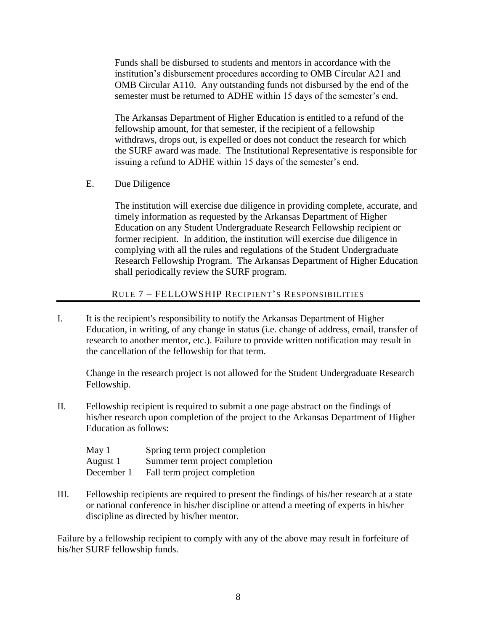Funds shall be disbursed to students and mentors in accordance with the institution's disbursement procedures according to OMB Circular A21 and OMB Circular A110. Any outstanding funds not disbursed by the end of the semester must be returned to ADHE within 15 days of the semester's end.

The Arkansas Department of Higher Education is entitled to a refund of the fellowship amount, for that semester, if the recipient of a fellowship withdraws, drops out, is expelled or does not conduct the research for which the SURF award was made. The Institutional Representative is responsible for issuing a refund to ADHE within 15 days of the semester's end.

E. Due Diligence

The institution will exercise due diligence in providing complete, accurate, and timely information as requested by the Arkansas Department of Higher Education on any Student Undergraduate Research Fellowship recipient or former recipient. In addition, the institution will exercise due diligence in complying with all the rules and regulations of the Student Undergraduate Research Fellowship Program. The Arkansas Department of Higher Education shall periodically review the SURF program.

## RULE 7 – FELLOWSHIP RECIPIENT'S RESPONSIBILITIES

I. It is the recipient's responsibility to notify the Arkansas Department of Higher Education, in writing, of any change in status (i.e. change of address, email, transfer of research to another mentor, etc.). Failure to provide written notification may result in the cancellation of the fellowship for that term.

Change in the research project is not allowed for the Student Undergraduate Research Fellowship.

II. Fellowship recipient is required to submit a one page abstract on the findings of his/her research upon completion of the project to the Arkansas Department of Higher Education as follows:

| May 1      | Spring term project completion |
|------------|--------------------------------|
| August 1   | Summer term project completion |
| December 1 | Fall term project completion   |

III. Fellowship recipients are required to present the findings of his/her research at a state or national conference in his/her discipline or attend a meeting of experts in his/her discipline as directed by his/her mentor.

Failure by a fellowship recipient to comply with any of the above may result in forfeiture of his/her SURF fellowship funds.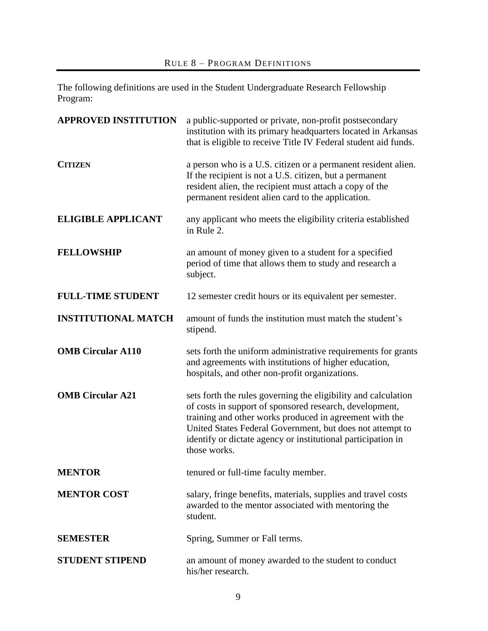The following definitions are used in the Student Undergraduate Research Fellowship Program:

| <b>APPROVED INSTITUTION</b> | a public-supported or private, non-profit postsecondary<br>institution with its primary headquarters located in Arkansas<br>that is eligible to receive Title IV Federal student aid funds.                                                                                                                                       |
|-----------------------------|-----------------------------------------------------------------------------------------------------------------------------------------------------------------------------------------------------------------------------------------------------------------------------------------------------------------------------------|
| <b>CITIZEN</b>              | a person who is a U.S. citizen or a permanent resident alien.<br>If the recipient is not a U.S. citizen, but a permanent<br>resident alien, the recipient must attach a copy of the<br>permanent resident alien card to the application.                                                                                          |
| <b>ELIGIBLE APPLICANT</b>   | any applicant who meets the eligibility criteria established<br>in Rule 2.                                                                                                                                                                                                                                                        |
| <b>FELLOWSHIP</b>           | an amount of money given to a student for a specified<br>period of time that allows them to study and research a<br>subject.                                                                                                                                                                                                      |
| <b>FULL-TIME STUDENT</b>    | 12 semester credit hours or its equivalent per semester.                                                                                                                                                                                                                                                                          |
| <b>INSTITUTIONAL MATCH</b>  | amount of funds the institution must match the student's<br>stipend.                                                                                                                                                                                                                                                              |
| <b>OMB Circular A110</b>    | sets forth the uniform administrative requirements for grants<br>and agreements with institutions of higher education,<br>hospitals, and other non-profit organizations.                                                                                                                                                          |
| <b>OMB Circular A21</b>     | sets forth the rules governing the eligibility and calculation<br>of costs in support of sponsored research, development,<br>training and other works produced in agreement with the<br>United States Federal Government, but does not attempt to<br>identify or dictate agency or institutional participation in<br>those works. |
| <b>MENTOR</b>               | tenured or full-time faculty member.                                                                                                                                                                                                                                                                                              |
| <b>MENTOR COST</b>          | salary, fringe benefits, materials, supplies and travel costs<br>awarded to the mentor associated with mentoring the<br>student.                                                                                                                                                                                                  |
| <b>SEMESTER</b>             | Spring, Summer or Fall terms.                                                                                                                                                                                                                                                                                                     |
| <b>STUDENT STIPEND</b>      | an amount of money awarded to the student to conduct<br>his/her research.                                                                                                                                                                                                                                                         |